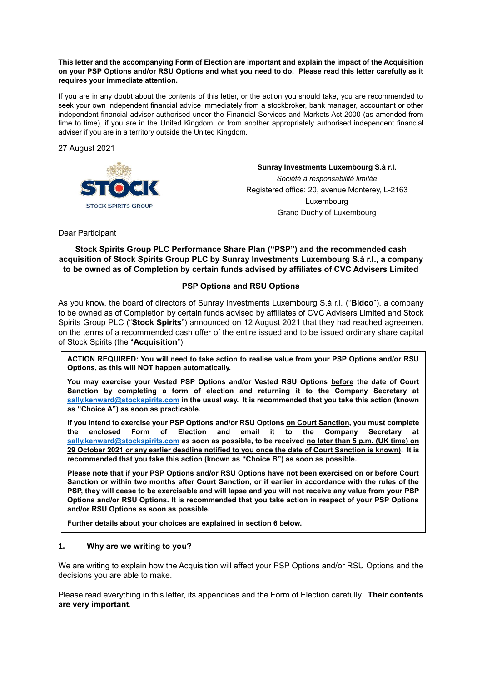#### **This letter and the accompanying Form of Election are important and explain the impact of the Acquisition on your PSP Options and/or RSU Options and what you need to do. Please read this letter carefully as it requires your immediate attention.**

If you are in any doubt about the contents of this letter, or the action you should take, you are recommended to seek your own independent financial advice immediately from a stockbroker, bank manager, accountant or other independent financial adviser authorised under the Financial Services and Markets Act 2000 (as amended from time to time), if you are in the United Kingdom, or from another appropriately authorised independent financial adviser if you are in a territory outside the United Kingdom.

27 August 2021



**Sunray Investments Luxembourg S.à r.l.**  *Société à responsabilité limitée*  Registered office: 20, avenue Monterey, L-2163 Luxembourg Grand Duchy of Luxembourg

Dear Participant

**Stock Spirits Group PLC Performance Share Plan ("PSP") and the recommended cash acquisition of Stock Spirits Group PLC by Sunray Investments Luxembourg S.à r.l., a company to be owned as of Completion by certain funds advised by affiliates of CVC Advisers Limited**

# **PSP Options and RSU Options**

As you know, the board of directors of Sunray Investments Luxembourg S.à r.l. ("**Bidco**"), a company to be owned as of Completion by certain funds advised by affiliates of CVC Advisers Limited and Stock Spirits Group PLC ("**Stock Spirits**") announced on 12 August 2021 that they had reached agreement on the terms of a recommended cash offer of the entire issued and to be issued ordinary share capital of Stock Spirits (the "**Acquisition**").

**ACTION REQUIRED: You will need to take action to realise value from your PSP Options and/or RSU Options, as this will NOT happen automatically.** 

**You may exercise your Vested PSP Options and/or Vested RSU Options before the date of Court Sanction by completing a form of election and returning it to the Company Secretary at sally.kenward@stockspirits.com in the usual way. It is recommended that you take this action (known as "Choice A") as soon as practicable.**

**If you intend to exercise your PSP Options and/or RSU Options on Court Sanction, you must complete the enclosed Form of Election and email it to the Company Secretary at sally.kenward@stockspirits.com as soon as possible, to be received no later than 5 p.m. (UK time) on 29 October 2021 or any earlier deadline notified to you once the date of Court Sanction is known). It is recommended that you take this action (known as "Choice B") as soon as possible.**

**Please note that if your PSP Options and/or RSU Options have not been exercised on or before Court Sanction or within two months after Court Sanction, or if earlier in accordance with the rules of the PSP, they will cease to be exercisable and will lapse and you will not receive any value from your PSP Options and/or RSU Options. It is recommended that you take action in respect of your PSP Options and/or RSU Options as soon as possible.**

**Further details about your choices are explained in section 6 below.**

### **1. Why are we writing to you?**

We are writing to explain how the Acquisition will affect your PSP Options and/or RSU Options and the decisions you are able to make.

Please read everything in this letter, its appendices and the Form of Election carefully. **Their contents are very important**.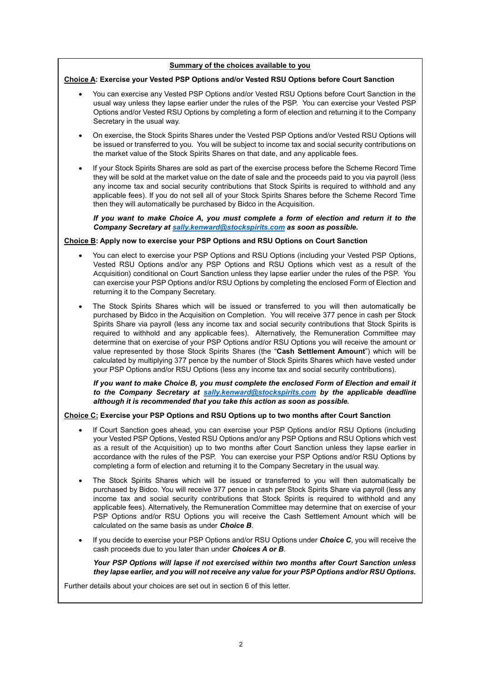#### **Summary of the choices available to you**

#### **Choice A: Exercise your Vested PSP Options and/or Vested RSU Options before Court Sanction**

- You can exercise any Vested PSP Options and/or Vested RSU Options before Court Sanction in the usual way unless they lapse earlier under the rules of the PSP. You can exercise your Vested PSP Options and/or Vested RSU Options by completing a form of election and returning it to the Company Secretary in the usual way.
- On exercise, the Stock Spirits Shares under the Vested PSP Options and/or Vested RSU Options will be issued or transferred to you. You will be subject to income tax and social security contributions on the market value of the Stock Spirits Shares on that date, and any applicable fees.
- If your Stock Spirits Shares are sold as part of the exercise process before the Scheme Record Time they will be sold at the market value on the date of sale and the proceeds paid to you via payroll (less any income tax and social security contributions that Stock Spirits is required to withhold and any applicable fees). If you do not sell all of your Stock Spirits Shares before the Scheme Record Time then they will automatically be purchased by Bidco in the Acquisition.

*If you want to make Choice A, you must complete a form of election and return it to the Company Secretary at sally.kenward@stockspirits.com as soon as possible.* 

#### **Choice B: Apply now to exercise your PSP Options and RSU Options on Court Sanction**

- You can elect to exercise your PSP Options and RSU Options (including your Vested PSP Options, Vested RSU Options and/or any PSP Options and RSU Options which vest as a result of the Acquisition) conditional on Court Sanction unless they lapse earlier under the rules of the PSP. You can exercise your PSP Options and/or RSU Options by completing the enclosed Form of Election and returning it to the Company Secretary.
- The Stock Spirits Shares which will be issued or transferred to you will then automatically be purchased by Bidco in the Acquisition on Completion. You will receive 377 pence in cash per Stock Spirits Share via payroll (less any income tax and social security contributions that Stock Spirits is required to withhold and any applicable fees). Alternatively, the Remuneration Committee may determine that on exercise of your PSP Options and/or RSU Options you will receive the amount or value represented by those Stock Spirits Shares (the "**Cash Settlement Amount**") which will be calculated by multiplying 377 pence by the number of Stock Spirits Shares which have vested under your PSP Options and/or RSU Options (less any income tax and social security contributions).

*If you want to make Choice B, you must complete the enclosed Form of Election and email it to the Company Secretary at sally.kenward@stockspirits.com by the applicable deadline although it is recommended that you take this action as soon as possible.*

#### **Choice C: Exercise your PSP Options and RSU Options up to two months after Court Sanction**

- If Court Sanction goes ahead, you can exercise your PSP Options and/or RSU Options (including your Vested PSP Options, Vested RSU Options and/or any PSP Options and RSU Options which vest as a result of the Acquisition) up to two months after Court Sanction unless they lapse earlier in accordance with the rules of the PSP. You can exercise your PSP Options and/or RSU Options by completing a form of election and returning it to the Company Secretary in the usual way.
- The Stock Spirits Shares which will be issued or transferred to you will then automatically be purchased by Bidco. You will receive 377 pence in cash per Stock Spirits Share via payroll (less any income tax and social security contributions that Stock Spirits is required to withhold and any applicable fees). Alternatively, the Remuneration Committee may determine that on exercise of your PSP Options and/or RSU Options you will receive the Cash Settlement Amount which will be calculated on the same basis as under *Choice B*.
- If you decide to exercise your PSP Options and/or RSU Options under *Choice C*, you will receive the cash proceeds due to you later than under *Choices A or B*.

*Your PSP Options will lapse if not exercised within two months after Court Sanction unless they lapse earlier, and you will not receive any value for your PSP Options and/or RSU Options.*

Further details about your choices are set out in section 6 of this letter.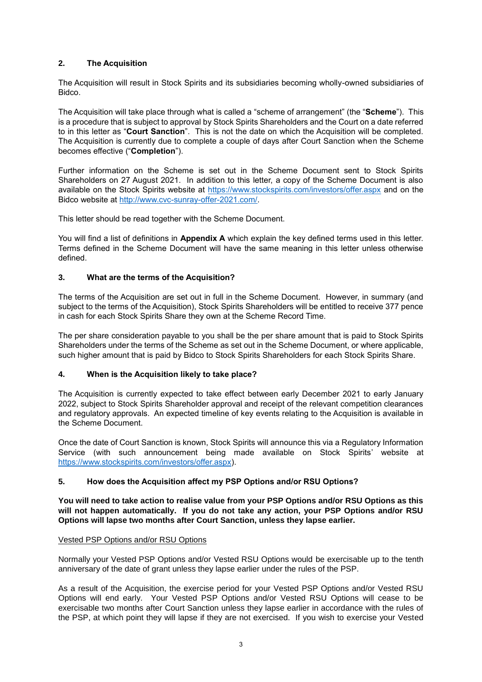# **2. The Acquisition**

The Acquisition will result in Stock Spirits and its subsidiaries becoming wholly-owned subsidiaries of Bidco.

The Acquisition will take place through what is called a "scheme of arrangement" (the "**Scheme**"). This is a procedure that is subject to approval by Stock Spirits Shareholders and the Court on a date referred to in this letter as "**Court Sanction**". This is not the date on which the Acquisition will be completed. The Acquisition is currently due to complete a couple of days after Court Sanction when the Scheme becomes effective ("**Completion**").

Further information on the Scheme is set out in the Scheme Document sent to Stock Spirits Shareholders on 27 August 2021. In addition to this letter, a copy of the Scheme Document is also available on the Stock Spirits website at https://www.stockspirits.com/investors/offer.aspx and on the Bidco website at http://www.cvc-sunray-offer-2021.com/.

This letter should be read together with the Scheme Document.

You will find a list of definitions in **Appendix A** which explain the key defined terms used in this letter. Terms defined in the Scheme Document will have the same meaning in this letter unless otherwise defined.

# **3. What are the terms of the Acquisition?**

The terms of the Acquisition are set out in full in the Scheme Document. However, in summary (and subject to the terms of the Acquisition), Stock Spirits Shareholders will be entitled to receive 377 pence in cash for each Stock Spirits Share they own at the Scheme Record Time.

The per share consideration payable to you shall be the per share amount that is paid to Stock Spirits Shareholders under the terms of the Scheme as set out in the Scheme Document, or where applicable, such higher amount that is paid by Bidco to Stock Spirits Shareholders for each Stock Spirits Share.

# **4. When is the Acquisition likely to take place?**

The Acquisition is currently expected to take effect between early December 2021 to early January 2022, subject to Stock Spirits Shareholder approval and receipt of the relevant competition clearances and regulatory approvals. An expected timeline of key events relating to the Acquisition is available in the Scheme Document.

Once the date of Court Sanction is known, Stock Spirits will announce this via a Regulatory Information Service (with such announcement being made available on Stock Spirits' website at https://www.stockspirits.com/investors/offer.aspx).

# **5. How does the Acquisition affect my PSP Options and/or RSU Options?**

**You will need to take action to realise value from your PSP Options and/or RSU Options as this will not happen automatically. If you do not take any action, your PSP Options and/or RSU Options will lapse two months after Court Sanction, unless they lapse earlier.**

### Vested PSP Options and/or RSU Options

Normally your Vested PSP Options and/or Vested RSU Options would be exercisable up to the tenth anniversary of the date of grant unless they lapse earlier under the rules of the PSP.

As a result of the Acquisition, the exercise period for your Vested PSP Options and/or Vested RSU Options will end early. Your Vested PSP Options and/or Vested RSU Options will cease to be exercisable two months after Court Sanction unless they lapse earlier in accordance with the rules of the PSP, at which point they will lapse if they are not exercised. If you wish to exercise your Vested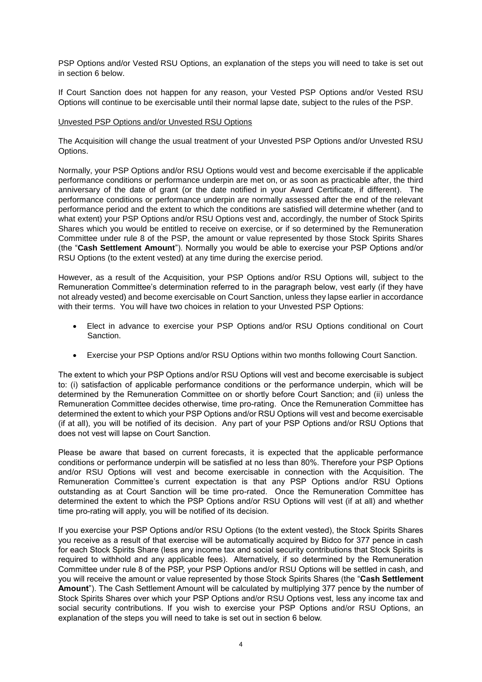PSP Options and/or Vested RSU Options, an explanation of the steps you will need to take is set out in section 6 below.

If Court Sanction does not happen for any reason, your Vested PSP Options and/or Vested RSU Options will continue to be exercisable until their normal lapse date, subject to the rules of the PSP.

#### Unvested PSP Options and/or Unvested RSU Options

The Acquisition will change the usual treatment of your Unvested PSP Options and/or Unvested RSU Options.

Normally, your PSP Options and/or RSU Options would vest and become exercisable if the applicable performance conditions or performance underpin are met on, or as soon as practicable after, the third anniversary of the date of grant (or the date notified in your Award Certificate, if different). The performance conditions or performance underpin are normally assessed after the end of the relevant performance period and the extent to which the conditions are satisfied will determine whether (and to what extent) your PSP Options and/or RSU Options vest and, accordingly, the number of Stock Spirits Shares which you would be entitled to receive on exercise, or if so determined by the Remuneration Committee under rule 8 of the PSP, the amount or value represented by those Stock Spirits Shares (the "**Cash Settlement Amount**"). Normally you would be able to exercise your PSP Options and/or RSU Options (to the extent vested) at any time during the exercise period.

However, as a result of the Acquisition, your PSP Options and/or RSU Options will, subject to the Remuneration Committee's determination referred to in the paragraph below, vest early (if they have not already vested) and become exercisable on Court Sanction, unless they lapse earlier in accordance with their terms. You will have two choices in relation to your Unvested PSP Options:

- Elect in advance to exercise your PSP Options and/or RSU Options conditional on Court Sanction.
- Exercise your PSP Options and/or RSU Options within two months following Court Sanction.

The extent to which your PSP Options and/or RSU Options will vest and become exercisable is subject to: (i) satisfaction of applicable performance conditions or the performance underpin, which will be determined by the Remuneration Committee on or shortly before Court Sanction; and (ii) unless the Remuneration Committee decides otherwise, time pro-rating. Once the Remuneration Committee has determined the extent to which your PSP Options and/or RSU Options will vest and become exercisable (if at all), you will be notified of its decision. Any part of your PSP Options and/or RSU Options that does not vest will lapse on Court Sanction.

Please be aware that based on current forecasts, it is expected that the applicable performance conditions or performance underpin will be satisfied at no less than 80%. Therefore your PSP Options and/or RSU Options will vest and become exercisable in connection with the Acquisition. The Remuneration Committee's current expectation is that any PSP Options and/or RSU Options outstanding as at Court Sanction will be time pro-rated. Once the Remuneration Committee has determined the extent to which the PSP Options and/or RSU Options will vest (if at all) and whether time pro-rating will apply, you will be notified of its decision.

If you exercise your PSP Options and/or RSU Options (to the extent vested), the Stock Spirits Shares you receive as a result of that exercise will be automatically acquired by Bidco for 377 pence in cash for each Stock Spirits Share (less any income tax and social security contributions that Stock Spirits is required to withhold and any applicable fees). Alternatively, if so determined by the Remuneration Committee under rule 8 of the PSP, your PSP Options and/or RSU Options will be settled in cash, and you will receive the amount or value represented by those Stock Spirits Shares (the "**Cash Settlement Amount**"). The Cash Settlement Amount will be calculated by multiplying 377 pence by the number of Stock Spirits Shares over which your PSP Options and/or RSU Options vest, less any income tax and social security contributions. If you wish to exercise your PSP Options and/or RSU Options, an explanation of the steps you will need to take is set out in section 6 below.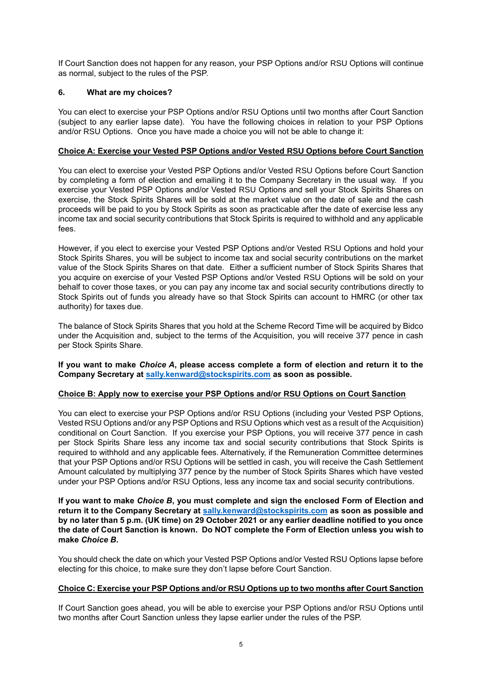If Court Sanction does not happen for any reason, your PSP Options and/or RSU Options will continue as normal, subject to the rules of the PSP.

### **6. What are my choices?**

You can elect to exercise your PSP Options and/or RSU Options until two months after Court Sanction (subject to any earlier lapse date). You have the following choices in relation to your PSP Options and/or RSU Options. Once you have made a choice you will not be able to change it:

#### **Choice A: Exercise your Vested PSP Options and/or Vested RSU Options before Court Sanction**

You can elect to exercise your Vested PSP Options and/or Vested RSU Options before Court Sanction by completing a form of election and emailing it to the Company Secretary in the usual way. If you exercise your Vested PSP Options and/or Vested RSU Options and sell your Stock Spirits Shares on exercise, the Stock Spirits Shares will be sold at the market value on the date of sale and the cash proceeds will be paid to you by Stock Spirits as soon as practicable after the date of exercise less any income tax and social security contributions that Stock Spirits is required to withhold and any applicable fees.

However, if you elect to exercise your Vested PSP Options and/or Vested RSU Options and hold your Stock Spirits Shares, you will be subject to income tax and social security contributions on the market value of the Stock Spirits Shares on that date. Either a sufficient number of Stock Spirits Shares that you acquire on exercise of your Vested PSP Options and/or Vested RSU Options will be sold on your behalf to cover those taxes, or you can pay any income tax and social security contributions directly to Stock Spirits out of funds you already have so that Stock Spirits can account to HMRC (or other tax authority) for taxes due.

The balance of Stock Spirits Shares that you hold at the Scheme Record Time will be acquired by Bidco under the Acquisition and, subject to the terms of the Acquisition, you will receive 377 pence in cash per Stock Spirits Share.

**If you want to make** *Choice A***, please access complete a form of election and return it to the Company Secretary at sally.kenward@stockspirits.com as soon as possible.**

#### **Choice B: Apply now to exercise your PSP Options and/or RSU Options on Court Sanction**

You can elect to exercise your PSP Options and/or RSU Options (including your Vested PSP Options, Vested RSU Options and/or any PSP Options and RSU Options which vest as a result of the Acquisition) conditional on Court Sanction. If you exercise your PSP Options, you will receive 377 pence in cash per Stock Spirits Share less any income tax and social security contributions that Stock Spirits is required to withhold and any applicable fees. Alternatively, if the Remuneration Committee determines that your PSP Options and/or RSU Options will be settled in cash, you will receive the Cash Settlement Amount calculated by multiplying 377 pence by the number of Stock Spirits Shares which have vested under your PSP Options and/or RSU Options, less any income tax and social security contributions.

**If you want to make** *Choice B***, you must complete and sign the enclosed Form of Election and return it to the Company Secretary at sally.kenward@stockspirits.com as soon as possible and by no later than 5 p.m. (UK time) on 29 October 2021 or any earlier deadline notified to you once the date of Court Sanction is known. Do NOT complete the Form of Election unless you wish to make** *Choice B***.**

You should check the date on which your Vested PSP Options and/or Vested RSU Options lapse before electing for this choice, to make sure they don't lapse before Court Sanction.

#### **Choice C: Exercise your PSP Options and/or RSU Options up to two months after Court Sanction**

If Court Sanction goes ahead, you will be able to exercise your PSP Options and/or RSU Options until two months after Court Sanction unless they lapse earlier under the rules of the PSP.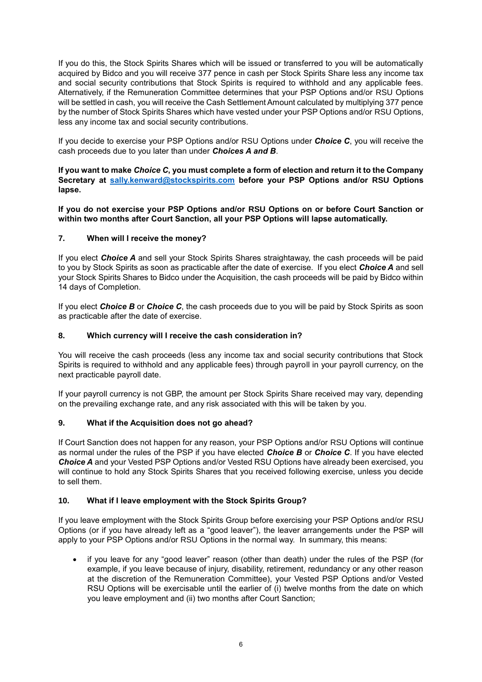If you do this, the Stock Spirits Shares which will be issued or transferred to you will be automatically acquired by Bidco and you will receive 377 pence in cash per Stock Spirits Share less any income tax and social security contributions that Stock Spirits is required to withhold and any applicable fees. Alternatively, if the Remuneration Committee determines that your PSP Options and/or RSU Options will be settled in cash, you will receive the Cash Settlement Amount calculated by multiplying 377 pence by the number of Stock Spirits Shares which have vested under your PSP Options and/or RSU Options, less any income tax and social security contributions.

If you decide to exercise your PSP Options and/or RSU Options under *Choice C*, you will receive the cash proceeds due to you later than under *Choices A and B*.

**If you want to make** *Choice C***, you must complete a form of election and return it to the Company Secretary at sally.kenward@stockspirits.com before your PSP Options and/or RSU Options lapse.**

**If you do not exercise your PSP Options and/or RSU Options on or before Court Sanction or within two months after Court Sanction, all your PSP Options will lapse automatically.**

# **7. When will I receive the money?**

If you elect *Choice A* and sell your Stock Spirits Shares straightaway, the cash proceeds will be paid to you by Stock Spirits as soon as practicable after the date of exercise. If you elect *Choice A* and sell your Stock Spirits Shares to Bidco under the Acquisition, the cash proceeds will be paid by Bidco within 14 days of Completion.

If you elect *Choice B* or *Choice C*, the cash proceeds due to you will be paid by Stock Spirits as soon as practicable after the date of exercise.

# **8. Which currency will I receive the cash consideration in?**

You will receive the cash proceeds (less any income tax and social security contributions that Stock Spirits is required to withhold and any applicable fees) through payroll in your payroll currency, on the next practicable payroll date.

If your payroll currency is not GBP, the amount per Stock Spirits Share received may vary, depending on the prevailing exchange rate, and any risk associated with this will be taken by you.

### **9. What if the Acquisition does not go ahead?**

If Court Sanction does not happen for any reason, your PSP Options and/or RSU Options will continue as normal under the rules of the PSP if you have elected *Choice B* or *Choice C*. If you have elected *Choice A* and your Vested PSP Options and/or Vested RSU Options have already been exercised, you will continue to hold any Stock Spirits Shares that you received following exercise, unless you decide to sell them.

### **10. What if I leave employment with the Stock Spirits Group?**

If you leave employment with the Stock Spirits Group before exercising your PSP Options and/or RSU Options (or if you have already left as a "good leaver"), the leaver arrangements under the PSP will apply to your PSP Options and/or RSU Options in the normal way. In summary, this means:

 if you leave for any "good leaver" reason (other than death) under the rules of the PSP (for example, if you leave because of injury, disability, retirement, redundancy or any other reason at the discretion of the Remuneration Committee), your Vested PSP Options and/or Vested RSU Options will be exercisable until the earlier of (i) twelve months from the date on which you leave employment and (ii) two months after Court Sanction;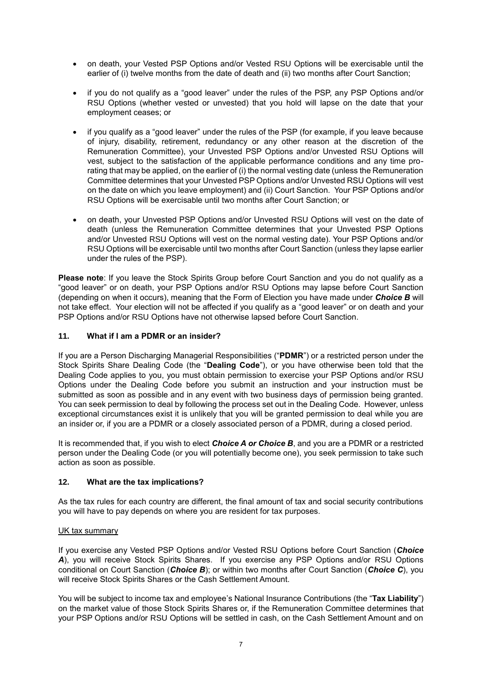- on death, your Vested PSP Options and/or Vested RSU Options will be exercisable until the earlier of (i) twelve months from the date of death and (ii) two months after Court Sanction;
- if you do not qualify as a "good leaver" under the rules of the PSP, any PSP Options and/or RSU Options (whether vested or unvested) that you hold will lapse on the date that your employment ceases; or
- if you qualify as a "good leaver" under the rules of the PSP (for example, if you leave because of injury, disability, retirement, redundancy or any other reason at the discretion of the Remuneration Committee), your Unvested PSP Options and/or Unvested RSU Options will vest, subject to the satisfaction of the applicable performance conditions and any time prorating that may be applied, on the earlier of (i) the normal vesting date (unless the Remuneration Committee determines that your Unvested PSP Options and/or Unvested RSU Options will vest on the date on which you leave employment) and (ii) Court Sanction. Your PSP Options and/or RSU Options will be exercisable until two months after Court Sanction; or
- on death, your Unvested PSP Options and/or Unvested RSU Options will vest on the date of death (unless the Remuneration Committee determines that your Unvested PSP Options and/or Unvested RSU Options will vest on the normal vesting date). Your PSP Options and/or RSU Options will be exercisable until two months after Court Sanction (unless they lapse earlier under the rules of the PSP).

**Please note**: If you leave the Stock Spirits Group before Court Sanction and you do not qualify as a "good leaver" or on death, your PSP Options and/or RSU Options may lapse before Court Sanction (depending on when it occurs), meaning that the Form of Election you have made under *Choice B* will not take effect. Your election will not be affected if you qualify as a "good leaver" or on death and your PSP Options and/or RSU Options have not otherwise lapsed before Court Sanction.

### **11. What if I am a PDMR or an insider?**

If you are a Person Discharging Managerial Responsibilities ("**PDMR**") or a restricted person under the Stock Spirits Share Dealing Code (the "**Dealing Code**"), or you have otherwise been told that the Dealing Code applies to you, you must obtain permission to exercise your PSP Options and/or RSU Options under the Dealing Code before you submit an instruction and your instruction must be submitted as soon as possible and in any event with two business days of permission being granted. You can seek permission to deal by following the process set out in the Dealing Code. However, unless exceptional circumstances exist it is unlikely that you will be granted permission to deal while you are an insider or, if you are a PDMR or a closely associated person of a PDMR, during a closed period.

It is recommended that, if you wish to elect *Choice A or Choice B*, and you are a PDMR or a restricted person under the Dealing Code (or you will potentially become one), you seek permission to take such action as soon as possible.

### **12. What are the tax implications?**

As the tax rules for each country are different, the final amount of tax and social security contributions you will have to pay depends on where you are resident for tax purposes.

### UK tax summary

If you exercise any Vested PSP Options and/or Vested RSU Options before Court Sanction (*Choice*  A), you will receive Stock Spirits Shares. If you exercise any PSP Options and/or RSU Options conditional on Court Sanction (*Choice B*); or within two months after Court Sanction (*Choice C*), you will receive Stock Spirits Shares or the Cash Settlement Amount.

You will be subject to income tax and employee's National Insurance Contributions (the "**Tax Liability**") on the market value of those Stock Spirits Shares or, if the Remuneration Committee determines that your PSP Options and/or RSU Options will be settled in cash, on the Cash Settlement Amount and on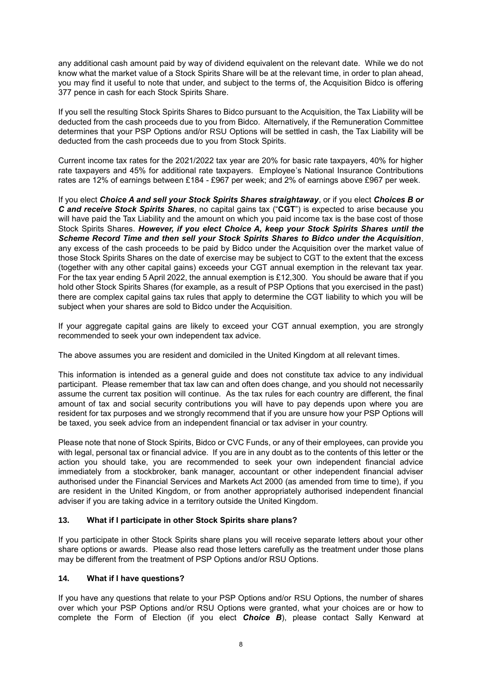any additional cash amount paid by way of dividend equivalent on the relevant date. While we do not know what the market value of a Stock Spirits Share will be at the relevant time, in order to plan ahead, you may find it useful to note that under, and subject to the terms of, the Acquisition Bidco is offering 377 pence in cash for each Stock Spirits Share.

If you sell the resulting Stock Spirits Shares to Bidco pursuant to the Acquisition, the Tax Liability will be deducted from the cash proceeds due to you from Bidco. Alternatively, if the Remuneration Committee determines that your PSP Options and/or RSU Options will be settled in cash, the Tax Liability will be deducted from the cash proceeds due to you from Stock Spirits.

Current income tax rates for the 2021/2022 tax year are 20% for basic rate taxpayers, 40% for higher rate taxpayers and 45% for additional rate taxpayers. Employee's National Insurance Contributions rates are 12% of earnings between £184 - £967 per week; and 2% of earnings above £967 per week.

If you elect *Choice A and sell your Stock Spirits Shares straightaway*, or if you elect *Choices B or C and receive Stock Spirits Shares*, no capital gains tax ("**CGT**") is expected to arise because you will have paid the Tax Liability and the amount on which you paid income tax is the base cost of those Stock Spirits Shares. *However, if you elect Choice A, keep your Stock Spirits Shares until the Scheme Record Time and then sell your Stock Spirits Shares to Bidco under the Acquisition*, any excess of the cash proceeds to be paid by Bidco under the Acquisition over the market value of those Stock Spirits Shares on the date of exercise may be subject to CGT to the extent that the excess (together with any other capital gains) exceeds your CGT annual exemption in the relevant tax year. For the tax year ending 5 April 2022, the annual exemption is £12,300. You should be aware that if you hold other Stock Spirits Shares (for example, as a result of PSP Options that you exercised in the past) there are complex capital gains tax rules that apply to determine the CGT liability to which you will be subject when your shares are sold to Bidco under the Acquisition.

If your aggregate capital gains are likely to exceed your CGT annual exemption, you are strongly recommended to seek your own independent tax advice.

The above assumes you are resident and domiciled in the United Kingdom at all relevant times.

This information is intended as a general guide and does not constitute tax advice to any individual participant. Please remember that tax law can and often does change, and you should not necessarily assume the current tax position will continue. As the tax rules for each country are different, the final amount of tax and social security contributions you will have to pay depends upon where you are resident for tax purposes and we strongly recommend that if you are unsure how your PSP Options will be taxed, you seek advice from an independent financial or tax adviser in your country.

Please note that none of Stock Spirits, Bidco or CVC Funds, or any of their employees, can provide you with legal, personal tax or financial advice. If you are in any doubt as to the contents of this letter or the action you should take, you are recommended to seek your own independent financial advice immediately from a stockbroker, bank manager, accountant or other independent financial adviser authorised under the Financial Services and Markets Act 2000 (as amended from time to time), if you are resident in the United Kingdom, or from another appropriately authorised independent financial adviser if you are taking advice in a territory outside the United Kingdom.

### **13. What if I participate in other Stock Spirits share plans?**

If you participate in other Stock Spirits share plans you will receive separate letters about your other share options or awards. Please also read those letters carefully as the treatment under those plans may be different from the treatment of PSP Options and/or RSU Options.

### **14. What if I have questions?**

If you have any questions that relate to your PSP Options and/or RSU Options, the number of shares over which your PSP Options and/or RSU Options were granted, what your choices are or how to complete the Form of Election (if you elect *Choice B*), please contact Sally Kenward at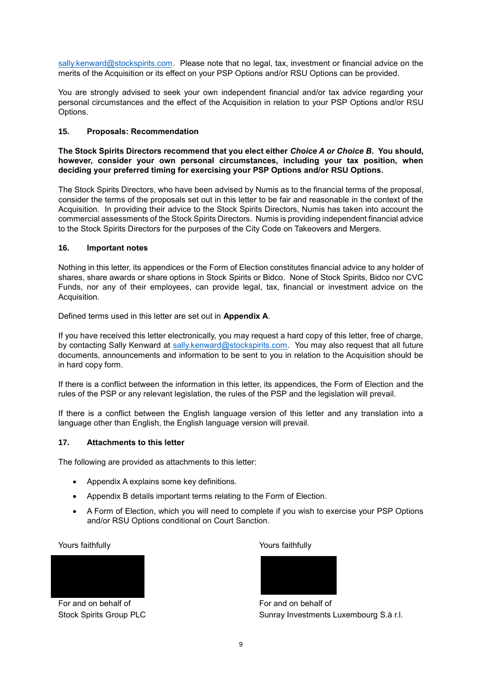sally.kenward@stockspirits.com. Please note that no legal, tax, investment or financial advice on the merits of the Acquisition or its effect on your PSP Options and/or RSU Options can be provided.

You are strongly advised to seek your own independent financial and/or tax advice regarding your personal circumstances and the effect of the Acquisition in relation to your PSP Options and/or RSU Options.

#### **15. Proposals: Recommendation**

#### **The Stock Spirits Directors recommend that you elect either** *Choice A or Choice B***. You should, however, consider your own personal circumstances, including your tax position, when deciding your preferred timing for exercising your PSP Options and/or RSU Options.**

The Stock Spirits Directors, who have been advised by Numis as to the financial terms of the proposal, consider the terms of the proposals set out in this letter to be fair and reasonable in the context of the Acquisition. In providing their advice to the Stock Spirits Directors, Numis has taken into account the commercial assessments of the Stock Spirits Directors. Numis is providing independent financial advice to the Stock Spirits Directors for the purposes of the City Code on Takeovers and Mergers.

#### **16. Important notes**

Nothing in this letter, its appendices or the Form of Election constitutes financial advice to any holder of shares, share awards or share options in Stock Spirits or Bidco. None of Stock Spirits, Bidco nor CVC Funds, nor any of their employees, can provide legal, tax, financial or investment advice on the Acquisition.

Defined terms used in this letter are set out in **Appendix A**.

If you have received this letter electronically, you may request a hard copy of this letter, free of charge, by contacting Sally Kenward at sally.kenward@stockspirits.com. You may also request that all future documents, announcements and information to be sent to you in relation to the Acquisition should be in hard copy form.

If there is a conflict between the information in this letter, its appendices, the Form of Election and the rules of the PSP or any relevant legislation, the rules of the PSP and the legislation will prevail.

If there is a conflict between the English language version of this letter and any translation into a language other than English, the English language version will prevail.

### **17. Attachments to this letter**

The following are provided as attachments to this letter:

- Appendix A explains some key definitions.
- Appendix B details important terms relating to the Form of Election.
- A Form of Election, which you will need to complete if you wish to exercise your PSP Options and/or RSU Options conditional on Court Sanction.

Yours faithfully Yours faithfully



For and on behalf of For and on behalf of



Stock Spirits Group PLC Sunray Investments Luxembourg S.à r.l.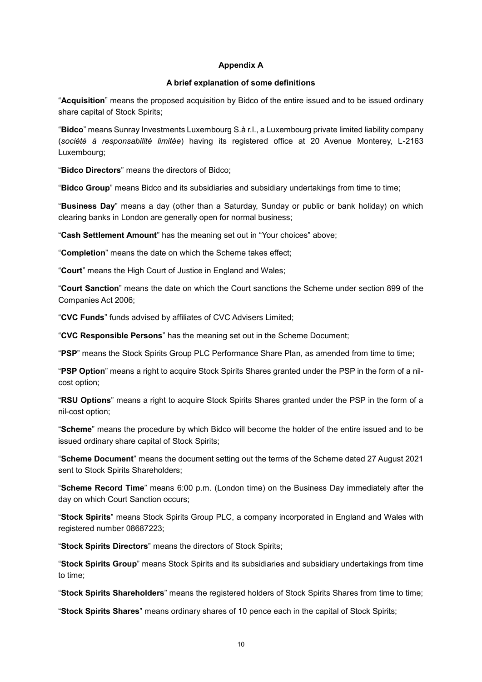## **Appendix A**

#### **A brief explanation of some definitions**

"**Acquisition**" means the proposed acquisition by Bidco of the entire issued and to be issued ordinary share capital of Stock Spirits;

"**Bidco**" means Sunray Investments Luxembourg S.à r.l., a Luxembourg private limited liability company (*société à responsabilité limitée*) having its registered office at 20 Avenue Monterey, L-2163 Luxembourg;

"**Bidco Directors**" means the directors of Bidco;

"**Bidco Group**" means Bidco and its subsidiaries and subsidiary undertakings from time to time;

"**Business Day**" means a day (other than a Saturday, Sunday or public or bank holiday) on which clearing banks in London are generally open for normal business;

"**Cash Settlement Amount**" has the meaning set out in "Your choices" above;

"**Completion**" means the date on which the Scheme takes effect;

"**Court**" means the High Court of Justice in England and Wales;

"**Court Sanction**" means the date on which the Court sanctions the Scheme under section 899 of the Companies Act 2006;

"**CVC Funds**" funds advised by affiliates of CVC Advisers Limited;

"**CVC Responsible Persons**" has the meaning set out in the Scheme Document;

"**PSP**" means the Stock Spirits Group PLC Performance Share Plan, as amended from time to time;

"**PSP Option**" means a right to acquire Stock Spirits Shares granted under the PSP in the form of a nilcost option;

"**RSU Options**" means a right to acquire Stock Spirits Shares granted under the PSP in the form of a nil-cost option;

"**Scheme**" means the procedure by which Bidco will become the holder of the entire issued and to be issued ordinary share capital of Stock Spirits;

"**Scheme Document**" means the document setting out the terms of the Scheme dated 27 August 2021 sent to Stock Spirits Shareholders;

"**Scheme Record Time**" means 6:00 p.m. (London time) on the Business Day immediately after the day on which Court Sanction occurs;

"**Stock Spirits**" means Stock Spirits Group PLC, a company incorporated in England and Wales with registered number 08687223;

"**Stock Spirits Directors**" means the directors of Stock Spirits;

"**Stock Spirits Group**" means Stock Spirits and its subsidiaries and subsidiary undertakings from time to time;

"**Stock Spirits Shareholders**" means the registered holders of Stock Spirits Shares from time to time;

"**Stock Spirits Shares**" means ordinary shares of 10 pence each in the capital of Stock Spirits;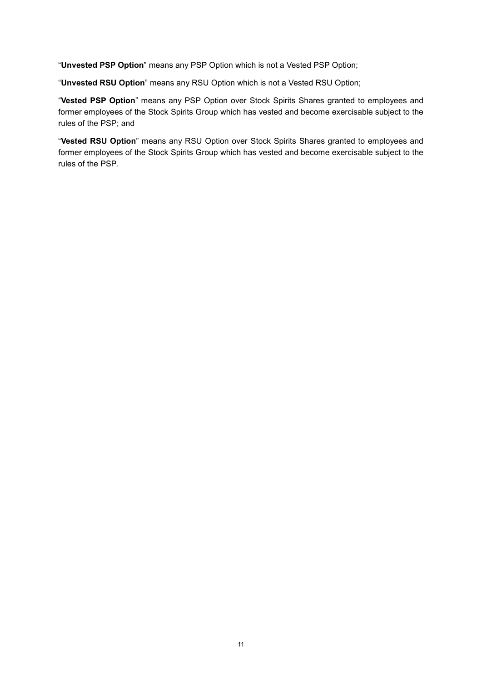"**Unvested PSP Option**" means any PSP Option which is not a Vested PSP Option;

"**Unvested RSU Option**" means any RSU Option which is not a Vested RSU Option;

"**Vested PSP Option**" means any PSP Option over Stock Spirits Shares granted to employees and former employees of the Stock Spirits Group which has vested and become exercisable subject to the rules of the PSP; and

"**Vested RSU Option**" means any RSU Option over Stock Spirits Shares granted to employees and former employees of the Stock Spirits Group which has vested and become exercisable subject to the rules of the PSP.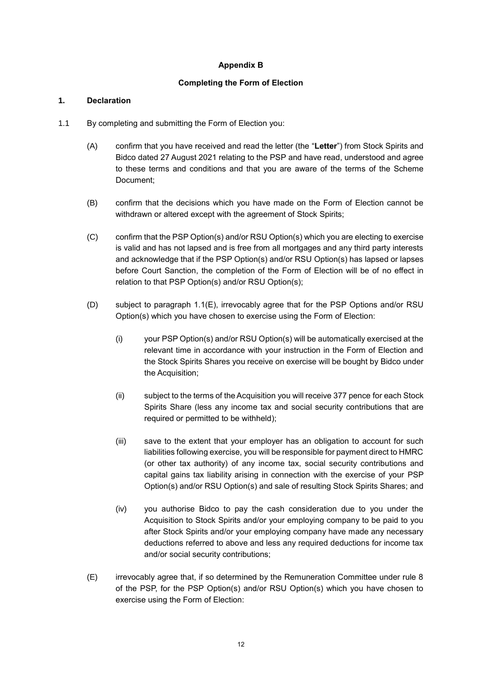# **Appendix B**

# **Completing the Form of Election**

### **1. Declaration**

- 1.1 By completing and submitting the Form of Election you:
	- (A) confirm that you have received and read the letter (the "**Letter**") from Stock Spirits and Bidco dated 27 August 2021 relating to the PSP and have read, understood and agree to these terms and conditions and that you are aware of the terms of the Scheme Document;
	- (B) confirm that the decisions which you have made on the Form of Election cannot be withdrawn or altered except with the agreement of Stock Spirits;
	- (C) confirm that the PSP Option(s) and/or RSU Option(s) which you are electing to exercise is valid and has not lapsed and is free from all mortgages and any third party interests and acknowledge that if the PSP Option(s) and/or RSU Option(s) has lapsed or lapses before Court Sanction, the completion of the Form of Election will be of no effect in relation to that PSP Option(s) and/or RSU Option(s);
	- (D) subject to paragraph 1.1(E), irrevocably agree that for the PSP Options and/or RSU Option(s) which you have chosen to exercise using the Form of Election:
		- (i) your PSP Option(s) and/or RSU Option(s) will be automatically exercised at the relevant time in accordance with your instruction in the Form of Election and the Stock Spirits Shares you receive on exercise will be bought by Bidco under the Acquisition;
		- (ii) subject to the terms of the Acquisition you will receive 377 pence for each Stock Spirits Share (less any income tax and social security contributions that are required or permitted to be withheld);
		- (iii) save to the extent that your employer has an obligation to account for such liabilities following exercise, you will be responsible for payment direct to HMRC (or other tax authority) of any income tax, social security contributions and capital gains tax liability arising in connection with the exercise of your PSP Option(s) and/or RSU Option(s) and sale of resulting Stock Spirits Shares; and
		- (iv) you authorise Bidco to pay the cash consideration due to you under the Acquisition to Stock Spirits and/or your employing company to be paid to you after Stock Spirits and/or your employing company have made any necessary deductions referred to above and less any required deductions for income tax and/or social security contributions;
	- (E) irrevocably agree that, if so determined by the Remuneration Committee under rule 8 of the PSP, for the PSP Option(s) and/or RSU Option(s) which you have chosen to exercise using the Form of Election: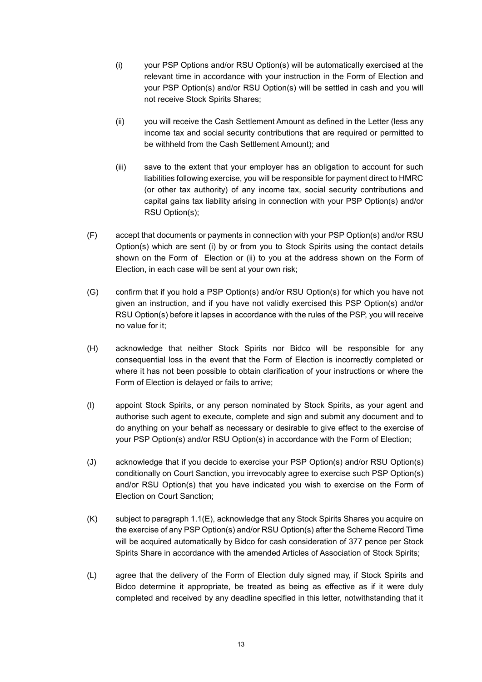- (i) your PSP Options and/or RSU Option(s) will be automatically exercised at the relevant time in accordance with your instruction in the Form of Election and your PSP Option(s) and/or RSU Option(s) will be settled in cash and you will not receive Stock Spirits Shares;
- (ii) you will receive the Cash Settlement Amount as defined in the Letter (less any income tax and social security contributions that are required or permitted to be withheld from the Cash Settlement Amount); and
- (iii) save to the extent that your employer has an obligation to account for such liabilities following exercise, you will be responsible for payment direct to HMRC (or other tax authority) of any income tax, social security contributions and capital gains tax liability arising in connection with your PSP Option(s) and/or RSU Option(s);
- (F) accept that documents or payments in connection with your PSP Option(s) and/or RSU Option(s) which are sent (i) by or from you to Stock Spirits using the contact details shown on the Form of Election or (ii) to you at the address shown on the Form of Election, in each case will be sent at your own risk;
- (G) confirm that if you hold a PSP Option(s) and/or RSU Option(s) for which you have not given an instruction, and if you have not validly exercised this PSP Option(s) and/or RSU Option(s) before it lapses in accordance with the rules of the PSP, you will receive no value for it;
- (H) acknowledge that neither Stock Spirits nor Bidco will be responsible for any consequential loss in the event that the Form of Election is incorrectly completed or where it has not been possible to obtain clarification of your instructions or where the Form of Election is delayed or fails to arrive;
- (I) appoint Stock Spirits, or any person nominated by Stock Spirits, as your agent and authorise such agent to execute, complete and sign and submit any document and to do anything on your behalf as necessary or desirable to give effect to the exercise of your PSP Option(s) and/or RSU Option(s) in accordance with the Form of Election;
- (J) acknowledge that if you decide to exercise your PSP Option(s) and/or RSU Option(s) conditionally on Court Sanction, you irrevocably agree to exercise such PSP Option(s) and/or RSU Option(s) that you have indicated you wish to exercise on the Form of Election on Court Sanction;
- (K) subject to paragraph 1.1(E), acknowledge that any Stock Spirits Shares you acquire on the exercise of any PSP Option(s) and/or RSU Option(s) after the Scheme Record Time will be acquired automatically by Bidco for cash consideration of 377 pence per Stock Spirits Share in accordance with the amended Articles of Association of Stock Spirits;
- (L) agree that the delivery of the Form of Election duly signed may, if Stock Spirits and Bidco determine it appropriate, be treated as being as effective as if it were duly completed and received by any deadline specified in this letter, notwithstanding that it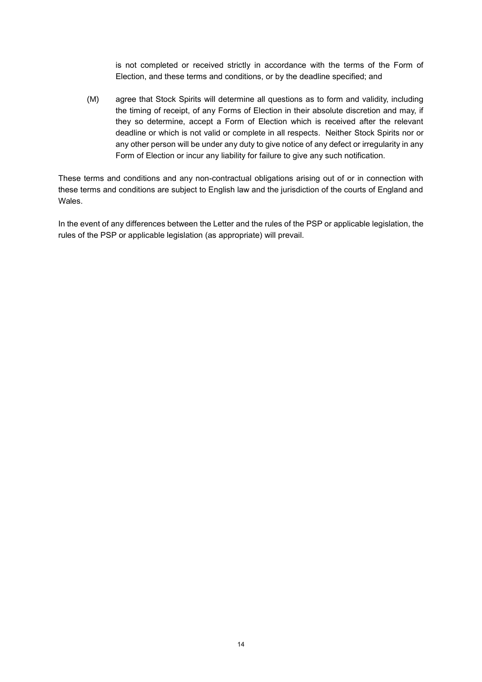is not completed or received strictly in accordance with the terms of the Form of Election, and these terms and conditions, or by the deadline specified; and

(M) agree that Stock Spirits will determine all questions as to form and validity, including the timing of receipt, of any Forms of Election in their absolute discretion and may, if they so determine, accept a Form of Election which is received after the relevant deadline or which is not valid or complete in all respects. Neither Stock Spirits nor or any other person will be under any duty to give notice of any defect or irregularity in any Form of Election or incur any liability for failure to give any such notification.

These terms and conditions and any non-contractual obligations arising out of or in connection with these terms and conditions are subject to English law and the jurisdiction of the courts of England and Wales.

In the event of any differences between the Letter and the rules of the PSP or applicable legislation, the rules of the PSP or applicable legislation (as appropriate) will prevail.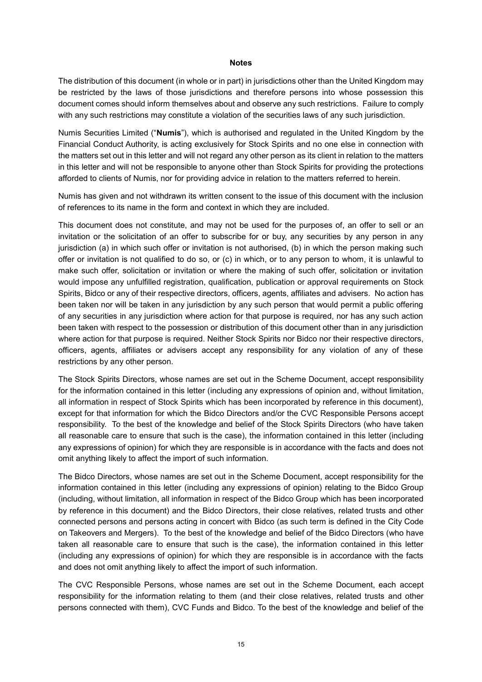#### **Notes**

The distribution of this document (in whole or in part) in jurisdictions other than the United Kingdom may be restricted by the laws of those jurisdictions and therefore persons into whose possession this document comes should inform themselves about and observe any such restrictions. Failure to comply with any such restrictions may constitute a violation of the securities laws of any such jurisdiction.

Numis Securities Limited ("**Numis**"), which is authorised and regulated in the United Kingdom by the Financial Conduct Authority, is acting exclusively for Stock Spirits and no one else in connection with the matters set out in this letter and will not regard any other person as its client in relation to the matters in this letter and will not be responsible to anyone other than Stock Spirits for providing the protections afforded to clients of Numis, nor for providing advice in relation to the matters referred to herein.

Numis has given and not withdrawn its written consent to the issue of this document with the inclusion of references to its name in the form and context in which they are included.

This document does not constitute, and may not be used for the purposes of, an offer to sell or an invitation or the solicitation of an offer to subscribe for or buy, any securities by any person in any jurisdiction (a) in which such offer or invitation is not authorised, (b) in which the person making such offer or invitation is not qualified to do so, or (c) in which, or to any person to whom, it is unlawful to make such offer, solicitation or invitation or where the making of such offer, solicitation or invitation would impose any unfulfilled registration, qualification, publication or approval requirements on Stock Spirits, Bidco or any of their respective directors, officers, agents, affiliates and advisers. No action has been taken nor will be taken in any jurisdiction by any such person that would permit a public offering of any securities in any jurisdiction where action for that purpose is required, nor has any such action been taken with respect to the possession or distribution of this document other than in any jurisdiction where action for that purpose is required. Neither Stock Spirits nor Bidco nor their respective directors, officers, agents, affiliates or advisers accept any responsibility for any violation of any of these restrictions by any other person.

The Stock Spirits Directors, whose names are set out in the Scheme Document, accept responsibility for the information contained in this letter (including any expressions of opinion and, without limitation, all information in respect of Stock Spirits which has been incorporated by reference in this document), except for that information for which the Bidco Directors and/or the CVC Responsible Persons accept responsibility. To the best of the knowledge and belief of the Stock Spirits Directors (who have taken all reasonable care to ensure that such is the case), the information contained in this letter (including any expressions of opinion) for which they are responsible is in accordance with the facts and does not omit anything likely to affect the import of such information.

The Bidco Directors, whose names are set out in the Scheme Document, accept responsibility for the information contained in this letter (including any expressions of opinion) relating to the Bidco Group (including, without limitation, all information in respect of the Bidco Group which has been incorporated by reference in this document) and the Bidco Directors, their close relatives, related trusts and other connected persons and persons acting in concert with Bidco (as such term is defined in the City Code on Takeovers and Mergers). To the best of the knowledge and belief of the Bidco Directors (who have taken all reasonable care to ensure that such is the case), the information contained in this letter (including any expressions of opinion) for which they are responsible is in accordance with the facts and does not omit anything likely to affect the import of such information.

The CVC Responsible Persons, whose names are set out in the Scheme Document, each accept responsibility for the information relating to them (and their close relatives, related trusts and other persons connected with them), CVC Funds and Bidco. To the best of the knowledge and belief of the